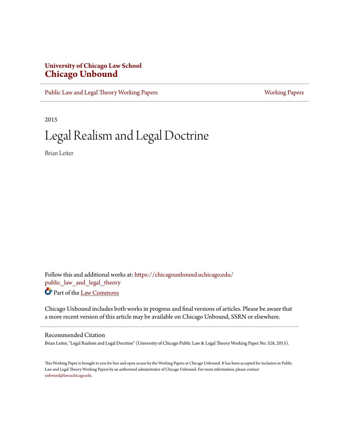## **University of Chicago Law School [Chicago Unbound](https://chicagounbound.uchicago.edu?utm_source=chicagounbound.uchicago.edu%2Fpublic_law_and_legal_theory%2F533&utm_medium=PDF&utm_campaign=PDFCoverPages)**

[Public Law and Legal Theory Working Papers](https://chicagounbound.uchicago.edu/public_law_and_legal_theory?utm_source=chicagounbound.uchicago.edu%2Fpublic_law_and_legal_theory%2F533&utm_medium=PDF&utm_campaign=PDFCoverPages) **[Working Papers](https://chicagounbound.uchicago.edu/working_papers?utm_source=chicagounbound.uchicago.edu%2Fpublic_law_and_legal_theory%2F533&utm_medium=PDF&utm_campaign=PDFCoverPages)** Working Papers

2015

## Legal Realism and Legal Doctrine

Brian Leiter

Follow this and additional works at: [https://chicagounbound.uchicago.edu/](https://chicagounbound.uchicago.edu/public_law_and_legal_theory?utm_source=chicagounbound.uchicago.edu%2Fpublic_law_and_legal_theory%2F533&utm_medium=PDF&utm_campaign=PDFCoverPages) [public\\_law\\_and\\_legal\\_theory](https://chicagounbound.uchicago.edu/public_law_and_legal_theory?utm_source=chicagounbound.uchicago.edu%2Fpublic_law_and_legal_theory%2F533&utm_medium=PDF&utm_campaign=PDFCoverPages) Part of the [Law Commons](http://network.bepress.com/hgg/discipline/578?utm_source=chicagounbound.uchicago.edu%2Fpublic_law_and_legal_theory%2F533&utm_medium=PDF&utm_campaign=PDFCoverPages)

Chicago Unbound includes both works in progress and final versions of articles. Please be aware that a more recent version of this article may be available on Chicago Unbound, SSRN or elsewhere.

#### Recommended Citation

Brian Leiter, "Legal Realism and Legal Doctrine" (University of Chicago Public Law & Legal Theory Working Paper No. 528, 2015).

This Working Paper is brought to you for free and open access by the Working Papers at Chicago Unbound. It has been accepted for inclusion in Public Law and Legal Theory Working Papers by an authorized administrator of Chicago Unbound. For more information, please contact [unbound@law.uchicago.edu](mailto:unbound@law.uchicago.edu).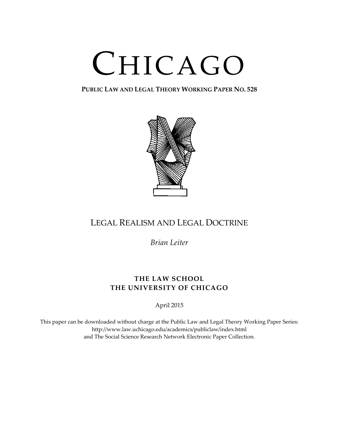# CHICAGO

**PUBLIC LAW AND LEGAL THEORY WORKING PAPER NO. 528**



## LEGAL REALISM AND LEGAL DOCTRINE

*Brian Leiter*

## **THE LAW SCHOOL THE UNIVERSITY OF CHICAGO**

April 2015

This paper can be downloaded without charge at the Public Law and Legal Theory Working Paper Series: http://www.law.uchicago.edu/academics/publiclaw/index.html and The Social Science Research Network Electronic Paper Collection.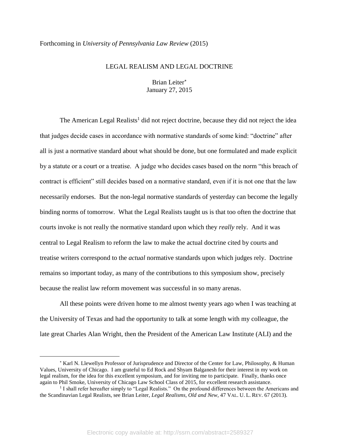## Forthcoming in *University of Pennsylvania Law Review* (2015)

## LEGAL REALISM AND LEGAL DOCTRINE

Brian Leiter January 27, 2015

The American Legal Realists<sup>1</sup> did not reject doctrine, because they did not reject the idea that judges decide cases in accordance with normative standards of some kind: "doctrine" after all is just a normative standard about what should be done, but one formulated and made explicit by a statute or a court or a treatise. A judge who decides cases based on the norm "this breach of contract is efficient" still decides based on a normative standard, even if it is not one that the law necessarily endorses. But the non-legal normative standards of yesterday can become the legally binding norms of tomorrow. What the Legal Realists taught us is that too often the doctrine that courts invoke is not really the normative standard upon which they *really* rely. And it was central to Legal Realism to reform the law to make the actual doctrine cited by courts and treatise writers correspond to the *actual* normative standards upon which judges rely. Doctrine remains so important today, as many of the contributions to this symposium show, precisely because the realist law reform movement was successful in so many arenas.

All these points were driven home to me almost twenty years ago when I was teaching at the University of Texas and had the opportunity to talk at some length with my colleague, the late great Charles Alan Wright, then the President of the American Law Institute (ALI) and the

<sup>&</sup>lt;sup>\*</sup> Karl N. Llewellyn Professor of Jurisprudence and Director of the Center for Law, Philosophy, & Human Values, University of Chicago. I am grateful to Ed Rock and Shyam Balganesh for their interest in my work on legal realism, for the idea for this excellent symposium, and for inviting me to participate. Finally, thanks once again to Phil Smoke, University of Chicago Law School Class of 2015, for excellent research assistance.

<sup>&</sup>lt;sup>1</sup> I shall refer hereafter simply to "Legal Realists." On the profound differences between the Americans and the Scandinavian Legal Realists, see Brian Leiter, *Legal Realisms, Old and New*, 47 VAL. U. L. REV. 67 (2013).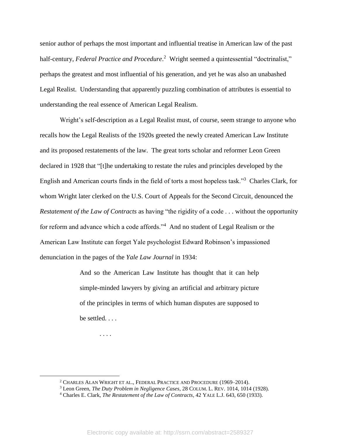senior author of perhaps the most important and influential treatise in American law of the past half-century, *Federal Practice and Procedure*.<sup>2</sup> Wright seemed a quintessential "doctrinalist," perhaps the greatest and most influential of his generation, and yet he was also an unabashed Legal Realist. Understanding that apparently puzzling combination of attributes is essential to understanding the real essence of American Legal Realism.

Wright's self-description as a Legal Realist must, of course, seem strange to anyone who recalls how the Legal Realists of the 1920s greeted the newly created American Law Institute and its proposed restatements of the law. The great torts scholar and reformer Leon Green declared in 1928 that "[t]he undertaking to restate the rules and principles developed by the English and American courts finds in the field of torts a most hopeless task."<sup>3</sup> Charles Clark, for whom Wright later clerked on the U.S. Court of Appeals for the Second Circuit, denounced the *Restatement of the Law of Contracts* as having "the rigidity of a code . . . without the opportunity for reform and advance which a code affords."<sup>4</sup> And no student of Legal Realism or the American Law Institute can forget Yale psychologist Edward Robinson's impassioned denunciation in the pages of the *Yale Law Journal* in 1934:

> And so the American Law Institute has thought that it can help simple-minded lawyers by giving an artificial and arbitrary picture of the principles in terms of which human disputes are supposed to be settled. . . .

. . . .

<sup>2</sup> CHARLES ALAN WRIGHT ET AL., FEDERAL PRACTICE AND PROCEDURE (1969–2014).

<sup>3</sup> Leon Green, *The Duty Problem in Negligence Cases*, 28 COLUM. L. REV. 1014, 1014 (1928).

<sup>4</sup> Charles E. Clark, *The Restatement of the Law of Contracts*, 42 YALE L.J. 643, 650 (1933).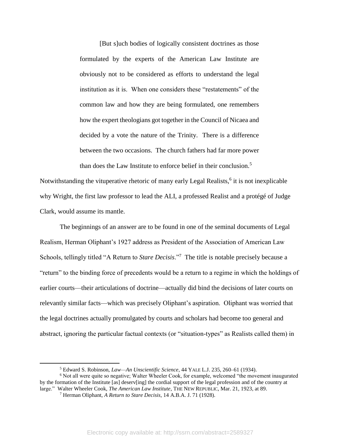[But s]uch bodies of logically consistent doctrines as those formulated by the experts of the American Law Institute are obviously not to be considered as efforts to understand the legal institution as it is. When one considers these "restatements" of the common law and how they are being formulated, one remembers how the expert theologians got together in the Council of Nicaea and decided by a vote the nature of the Trinity. There is a difference between the two occasions. The church fathers had far more power than does the Law Institute to enforce belief in their conclusion.<sup>5</sup>

Notwithstanding the vituperative rhetoric of many early Legal Realists,<sup>6</sup> it is not inexplicable why Wright, the first law professor to lead the ALI, a professed Realist and a protégé of Judge Clark, would assume its mantle.

The beginnings of an answer are to be found in one of the seminal documents of Legal Realism, Herman Oliphant's 1927 address as President of the Association of American Law Schools, tellingly titled "A Return to *Stare Decisis*."<sup>7</sup> The title is notable precisely because a "return" to the binding force of precedents would be a return to a regime in which the holdings of earlier courts—their articulations of doctrine—actually did bind the decisions of later courts on relevantly similar facts—which was precisely Oliphant's aspiration. Oliphant was worried that the legal doctrines actually promulgated by courts and scholars had become too general and abstract, ignoring the particular factual contexts (or "situation-types" as Realists called them) in

<sup>5</sup> Edward S. Robinson, *Law—An Unscientific Science*, 44 YALE L.J. 235, 260–61 (1934).

<sup>6</sup> Not all were quite so negative; Walter Wheeler Cook, for example, welcomed "the movement inaugurated by the formation of the Institute [as] deserv[ing] the cordial support of the legal profession and of the country at large." Walter Wheeler Cook, *The American Law Institute*, THE NEW REPUBLIC, Mar. 21, 1923, at 89.

<sup>7</sup> Herman Oliphant, *A Return to Stare Decisis*, 14 A.B.A. J. 71 (1928).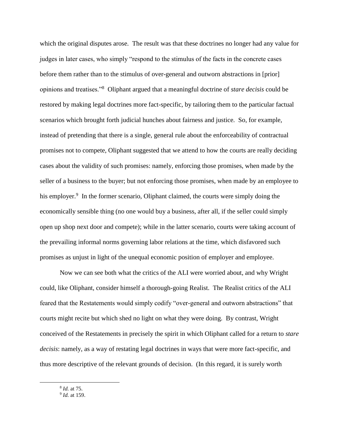which the original disputes arose. The result was that these doctrines no longer had any value for judges in later cases, who simply "respond to the stimulus of the facts in the concrete cases before them rather than to the stimulus of over-general and outworn abstractions in [prior] opinions and treatises."<sup>8</sup> Oliphant argued that a meaningful doctrine of *stare decisis* could be restored by making legal doctrines more fact-specific, by tailoring them to the particular factual scenarios which brought forth judicial hunches about fairness and justice. So, for example, instead of pretending that there is a single, general rule about the enforceability of contractual promises not to compete, Oliphant suggested that we attend to how the courts are really deciding cases about the validity of such promises: namely, enforcing those promises, when made by the seller of a business to the buyer; but not enforcing those promises, when made by an employee to his employer.<sup>9</sup> In the former scenario, Oliphant claimed, the courts were simply doing the economically sensible thing (no one would buy a business, after all, if the seller could simply open up shop next door and compete); while in the latter scenario, courts were taking account of the prevailing informal norms governing labor relations at the time, which disfavored such promises as unjust in light of the unequal economic position of employer and employee.

Now we can see both what the critics of the ALI were worried about, and why Wright could, like Oliphant, consider himself a thorough-going Realist. The Realist critics of the ALI feared that the Restatements would simply codify "over-general and outworn abstractions" that courts might recite but which shed no light on what they were doing. By contrast, Wright conceived of the Restatements in precisely the spirit in which Oliphant called for a return to *stare decisis*: namely, as a way of restating legal doctrines in ways that were more fact-specific, and thus more descriptive of the relevant grounds of decision. (In this regard, it is surely worth

8 *Id.* at 75.

<sup>9</sup> *Id.* at 159.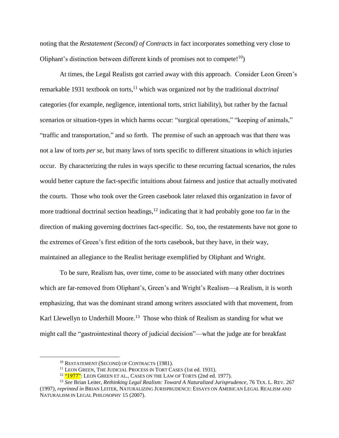noting that the *Restatement (Second) of Contracts* in fact incorporates something very close to Oliphant's distinction between different kinds of promises not to compete!<sup>10</sup>)

At times, the Legal Realists got carried away with this approach. Consider Leon Green's remarkable 1931 textbook on torts,<sup>11</sup> which was organized *not* by the traditional *doctrinal* categories (for example, negligence, intentional torts, strict liability), but rather by the factual scenarios or situation-types in which harms occur: "surgical operations," "keeping of animals," "traffic and transportation," and so forth. The premise of such an approach was that there was not a law of torts *per se*, but many laws of torts specific to different situations in which injuries occur. By characterizing the rules in ways specific to these recurring factual scenarios, the rules would better capture the fact-specific intuitions about fairness and justice that actually motivated the courts. Those who took over the Green casebook later relaxed this organization in favor of more tradtional doctrinal section headings,  $12$  indicating that it had probably gone too far in the direction of making governing doctrines fact-specific. So, too, the restatements have not gone to the extremes of Green's first edition of the torts casebook, but they have, in their way, maintained an allegiance to the Realist heritage exemplified by Oliphant and Wright.

To be sure, Realism has, over time, come to be associated with many other doctrines which are far-removed from Oliphant's, Green's and Wright's Realism—a Realism, it is worth emphasizing, that was the dominant strand among writers associated with that movement, from Karl Llewellyn to Underhill Moore.<sup>13</sup> Those who think of Realism as standing for what we might call the "gastrointestinal theory of judicial decision"—what the judge ate for breakfast

<span id="page-6-0"></span><sup>&</sup>lt;sup>10</sup> RESTATEMENT (SECOND) OF CONTRACTS (1981).

<sup>&</sup>lt;sup>11</sup> LEON GREEN, THE JUDICIAL PROCESS IN TORT CASES (1st ed. 1931).

<sup>&</sup>lt;sup>12</sup> "1977": LEON GREEN ET AL., CASES ON THE LAW OF TORTS (2nd ed. 1977).

<sup>13</sup> *See* Brian Leiter, *Rethinking Legal Realism: Toward A Naturalized Jurisprudence*, 76 TEX. L. REV. 267 (1997), *reprinted in* BRIAN LEITER, NATURALIZING JURISPRUDENCE: ESSAYS ON AMERICAN LEGAL REALISM AND NATURALISM IN LEGAL PHILOSOPHY 15 (2007).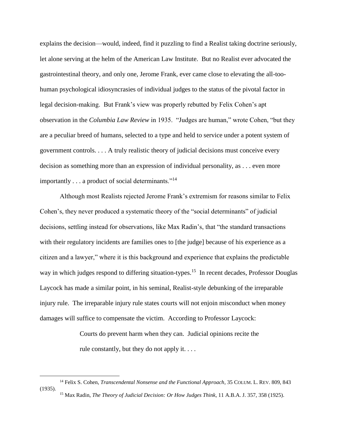explains the decision—would, indeed, find it puzzling to find a Realist taking doctrine seriously, let alone serving at the helm of the American Law Institute. But no Realist ever advocated the gastrointestinal theory, and only one, Jerome Frank, ever came close to elevating the all-toohuman psychological idiosyncrasies of individual judges to the status of the pivotal factor in legal decision-making. But Frank's view was properly rebutted by Felix Cohen's apt observation in the *Columbia Law Review* in 1935. "Judges are human," wrote Cohen, "but they are a peculiar breed of humans, selected to a type and held to service under a potent system of government controls. . . . A truly realistic theory of judicial decisions must conceive every decision as something more than an expression of individual personality, as . . . even more importantly . . . a product of social determinants."<sup>14</sup>

Although most Realists rejected Jerome Frank's extremism for reasons similar to Felix Cohen's, they never produced a systematic theory of the "social determinants" of judicial decisions, settling instead for observations, like Max Radin's, that "the standard transactions with their regulatory incidents are families ones to [the judge] because of his experience as a citizen and a lawyer," where it is this background and experience that explains the predictable way in which judges respond to differing situation-types.<sup>15</sup> In recent decades, Professor Douglas Laycock has made a similar point, in his seminal, Realist-style debunking of the irreparable injury rule. The irreparable injury rule states courts will not enjoin misconduct when money damages will suffice to compensate the victim. According to Professor Laycock:

> Courts do prevent harm when they can. Judicial opinions recite the rule constantly, but they do not apply it. . . .

<sup>14</sup> Felix S. Cohen, *Transcendental Nonsense and the Functional Approach*, 35 COLUM. L. REV. 809, 843 (1935). <sup>15</sup> Max Radin, *The Theory of Judicial Decision: Or How Judges Think*, 11 A.B.A. J. 357, 358 (1925).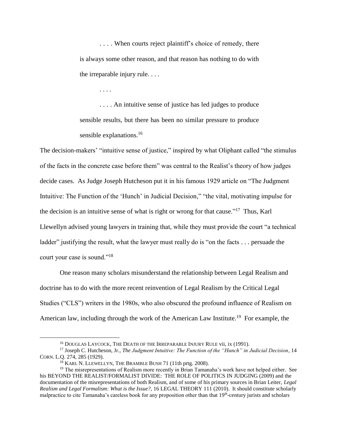. . . . When courts reject plaintiff's choice of remedy, there is always some other reason, and that reason has nothing to do with the irreparable injury rule. . . .

. . . .

. . . . An intuitive sense of justice has led judges to produce sensible results, but there has been no similar pressure to produce sensible explanations.<sup>16</sup>

The decision-makers' "intuitive sense of justice," inspired by what Oliphant called "the stimulus of the facts in the concrete case before them" was central to the Realist's theory of how judges decide cases. As Judge Joseph Hutcheson put it in his famous 1929 article on "The Judgment Intuitive: The Function of the 'Hunch' in Judicial Decision," "the vital, motivating impulse for the decision is an intuitive sense of what is right or wrong for that cause."<sup>17</sup> Thus, Karl Llewellyn advised young lawyers in training that, while they must provide the court "a technical ladder" justifying the result, what the lawyer must really do is "on the facts . . . persuade the court your case is sound."<sup>18</sup>

One reason many scholars misunderstand the relationship between Legal Realism and doctrine has to do with the more recent reinvention of Legal Realism by the Critical Legal Studies ("CLS") writers in the 1980s, who also obscured the profound influence of Realism on American law, including through the work of the American Law Institute.<sup>19</sup> For example, the

<sup>&</sup>lt;sup>16</sup> DOUGLAS LAYCOCK, THE DEATH OF THE IRREPARABLE INJURY RULE vii, ix (1991).

<sup>17</sup> Joseph C. Hutcheson, Jr., *The Judgment Intuitive: The Function of the "Hunch" in Judicial Decision*, 14 CORN. L.Q. 274, 285 (1929).

<sup>&</sup>lt;sup>18</sup> KARL N. LLEWELLYN, THE BRAMBLE BUSH 71 (11th prtg. 2008).

<sup>&</sup>lt;sup>19</sup> The misrepresentations of Realism more recently in Brian Tamanaha's work have not helped either. See his BEYOND THE REALIST/FORMALIST DIVIDE: THE ROLE OF POLITICS IN JUDGING (2009) and the documentation of the misrepresentations of both Realism, and of some of his primary sources in Brian Leiter, *Legal Realism and Legal Formalism: What is the Issue?*, 16 LEGAL THEORY 111 (2010). It should constitute scholarly malpractice to cite Tamanaha's careless book for any proposition other than that 19<sup>th</sup>-century jurists and scholars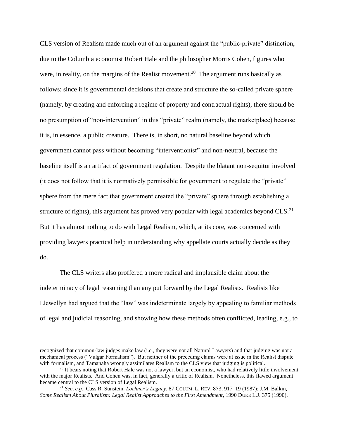CLS version of Realism made much out of an argument against the "public-private" distinction, due to the Columbia economist Robert Hale and the philosopher Morris Cohen, figures who were, in reality, on the margins of the Realist movement.<sup>20</sup> The argument runs basically as follows: since it is governmental decisions that create and structure the so-called private sphere (namely, by creating and enforcing a regime of property and contractual rights), there should be no presumption of "non-intervention" in this "private" realm (namely, the marketplace) because it is, in essence, a public creature. There is, in short, no natural baseline beyond which government cannot pass without becoming "interventionist" and non-neutral, because the baseline itself is an artifact of government regulation. Despite the blatant non-sequitur involved (it does not follow that it is normatively permissible for government to regulate the "private" sphere from the mere fact that government created the "private" sphere through establishing a structure of rights), this argument has proved very popular with legal academics beyond  $CLS<sup>21</sup>$ But it has almost nothing to do with Legal Realism, which, at its core, was concerned with providing lawyers practical help in understanding why appellate courts actually decide as they do.

The CLS writers also proffered a more radical and implausible claim about the indeterminacy of legal reasoning than any put forward by the Legal Realists. Realists like Llewellyn had argued that the "law" was indeterminate largely by appealing to familiar methods of legal and judicial reasoning, and showing how these methods often conflicted, leading, e.g., to

recognized that common-law judges make law (i.e., they were not all Natural Lawyers) and that judging was not a mechanical process ("Vulgar Formalism"). But neither of the preceding claims were at issue in the Realist dispute with formalism, and Tamanaha wrongly assimilates Realism to the CLS view that judging is political.

<sup>&</sup>lt;sup>20</sup> It bears noting that Robert Hale was not a lawyer, but an economist, who had relatively little involvement with the major Realists. And Cohen was, in fact, generally a critic of Realism. Nonetheless, this flawed argument became central to the CLS version of Legal Realism.

<sup>21</sup> *See, e.g.*, Cass R. Sunstein, *Lochner's Legacy*, 87 COLUM. L. REV. 873, 917–19 (1987); J.M. Balkin, *Some Realism About Pluralism: Legal Realist Approaches to the First Amendment*, 1990 DUKE L.J. 375 (1990).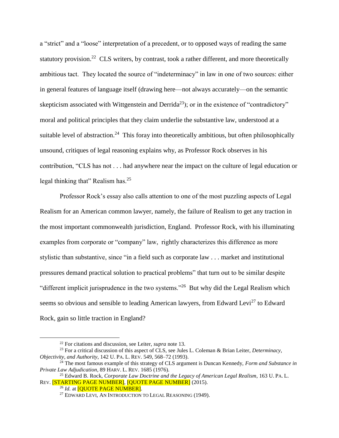a "strict" and a "loose" interpretation of a precedent, or to opposed ways of reading the same statutory provision.<sup>22</sup> CLS writers, by contrast, took a rather different, and more theoretically ambitious tact. They located the source of "indeterminacy" in law in one of two sources: either in general features of language itself (drawing here—not always accurately—on the semantic skepticism associated with Wittgenstein and Derrida<sup>23</sup>); or in the existence of "contradictory" moral and political principles that they claim underlie the substantive law, understood at a suitable level of abstraction.<sup>24</sup> This foray into theoretically ambitious, but often philosophically unsound, critiques of legal reasoning explains why, as Professor Rock observes in his contribution, "CLS has not . . . had anywhere near the impact on the culture of legal education or legal thinking that" Realism has.<sup>25</sup>

Professor Rock's essay also calls attention to one of the most puzzling aspects of Legal Realism for an American common lawyer, namely, the failure of Realism to get any traction in the most important commonwealth jurisdiction, England. Professor Rock, with his illuminating examples from corporate or "company" law, rightly characterizes this difference as more stylistic than substantive, since "in a field such as corporate law . . . market and institutional pressures demand practical solution to practical problems" that turn out to be similar despite "different implicit jurisprudence in the two systems."<sup>26</sup> But why did the Legal Realism which seems so obvious and sensible to leading American lawyers, from Edward Levi<sup>27</sup> to Edward Rock, gain so little traction in England?

<sup>22</sup> For citations and discussion, see Leiter, *supra* note [13.](#page-6-0)

<sup>23</sup> For a critical discussion of this aspect of CLS, see Jules L. Coleman & Brian Leiter, *Determinacy, Objectivity, and Authority*, 142 U. PA. L. REV. 549, 568–72 (1993).

<sup>24</sup> The most famous example of this strategy of CLS argument is Duncan Kennedy, *Form and Substance in Private Law Adjudication*, 89 HARV. L. REV. 1685 (1976).

<sup>25</sup> Edward B. Rock, *Corporate Law Doctrine and the Legacy of American Legal Realism*, 163 U. PA. L. REV. **[STARTING PAGE NUMBER], [QUOTE PAGE NUMBER]** (2015).

<sup>&</sup>lt;sup>26</sup> *Id.* at **[OUOTE PAGE NUMBER]**.

<sup>&</sup>lt;sup>27</sup> EDWARD LEVI, AN INTRODUCTION TO LEGAL REASONING (1949).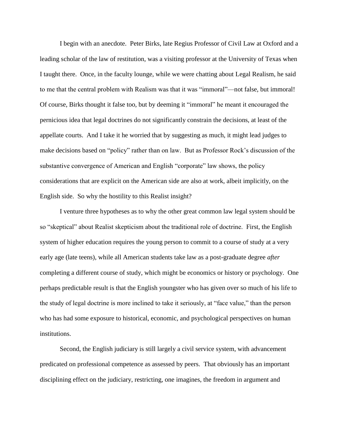I begin with an anecdote. Peter Birks, late Regius Professor of Civil Law at Oxford and a leading scholar of the law of restitution, was a visiting professor at the University of Texas when I taught there. Once, in the faculty lounge, while we were chatting about Legal Realism, he said to me that the central problem with Realism was that it was "immoral"—not false, but immoral! Of course, Birks thought it false too, but by deeming it "immoral" he meant it encouraged the pernicious idea that legal doctrines do not significantly constrain the decisions, at least of the appellate courts. And I take it he worried that by suggesting as much, it might lead judges to make decisions based on "policy" rather than on law. But as Professor Rock's discussion of the substantive convergence of American and English "corporate" law shows, the policy considerations that are explicit on the American side are also at work, albeit implicitly, on the English side. So why the hostility to this Realist insight?

I venture three hypotheses as to why the other great common law legal system should be so "skeptical" about Realist skepticism about the traditional role of doctrine. First, the English system of higher education requires the young person to commit to a course of study at a very early age (late teens), while all American students take law as a post-graduate degree *after* completing a different course of study, which might be economics or history or psychology. One perhaps predictable result is that the English youngster who has given over so much of his life to the study of legal doctrine is more inclined to take it seriously, at "face value," than the person who has had some exposure to historical, economic, and psychological perspectives on human institutions.

Second, the English judiciary is still largely a civil service system, with advancement predicated on professional competence as assessed by peers. That obviously has an important disciplining effect on the judiciary, restricting, one imagines, the freedom in argument and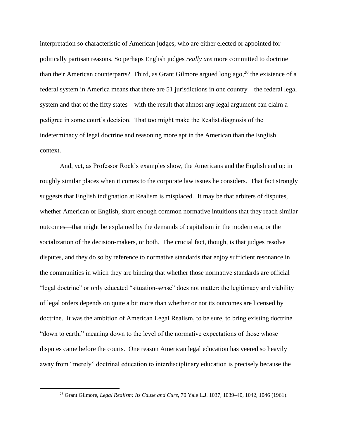interpretation so characteristic of American judges, who are either elected or appointed for politically partisan reasons. So perhaps English judges *really are* more committed to doctrine than their American counterparts? Third, as Grant Gilmore argued long ago,<sup>28</sup> the existence of a federal system in America means that there are 51 jurisdictions in one country—the federal legal system and that of the fifty states—with the result that almost any legal argument can claim a pedigree in some court's decision. That too might make the Realist diagnosis of the indeterminacy of legal doctrine and reasoning more apt in the American than the English context.

And, yet, as Professor Rock's examples show, the Americans and the English end up in roughly similar places when it comes to the corporate law issues he considers. That fact strongly suggests that English indignation at Realism is misplaced. It may be that arbiters of disputes, whether American or English, share enough common normative intuitions that they reach similar outcomes—that might be explained by the demands of capitalism in the modern era, or the socialization of the decision-makers, or both. The crucial fact, though, is that judges resolve disputes, and they do so by reference to normative standards that enjoy sufficient resonance in the communities in which they are binding that whether those normative standards are official "legal doctrine" or only educated "situation-sense" does not matter: the legitimacy and viability of legal orders depends on quite a bit more than whether or not its outcomes are licensed by doctrine. It was the ambition of American Legal Realism, to be sure, to bring existing doctrine "down to earth," meaning down to the level of the normative expectations of those whose disputes came before the courts. One reason American legal education has veered so heavily away from "merely" doctrinal education to interdisciplinary education is precisely because the

<sup>28</sup> Grant Gilmore, *Legal Realism: Its Cause and Cure*, 70 Yale L.J. 1037, 1039–40, 1042, 1046 (1961).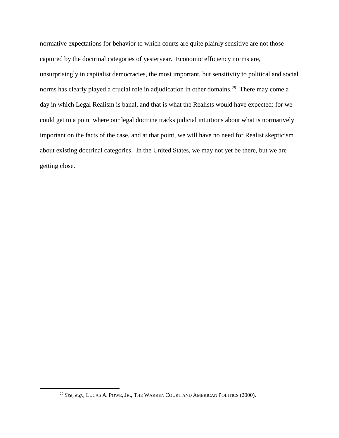normative expectations for behavior to which courts are quite plainly sensitive are not those captured by the doctrinal categories of yesteryear. Economic efficiency norms are, unsurprisingly in capitalist democracies, the most important, but sensitivity to political and social norms has clearly played a crucial role in adjudication in other domains.<sup>29</sup> There may come a day in which Legal Realism is banal, and that is what the Realists would have expected: for we could get to a point where our legal doctrine tracks judicial intuitions about what is normatively important on the facts of the case, and at that point, we will have no need for Realist skepticism about existing doctrinal categories. In the United States, we may not yet be there, but we are getting close.

<sup>29</sup> *See, e.g.*, LUCAS A. POWE, JR., THE WARREN COURT AND AMERICAN POLITICS (2000).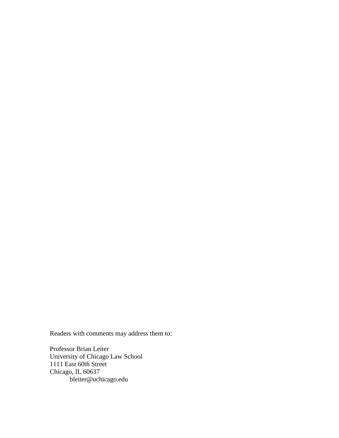Readers with comments may address them to:

Professor Brian Leiter University of Chicago Law School 1111 East 60th Street Chicago, IL 60637 bleiter@uchicago.edu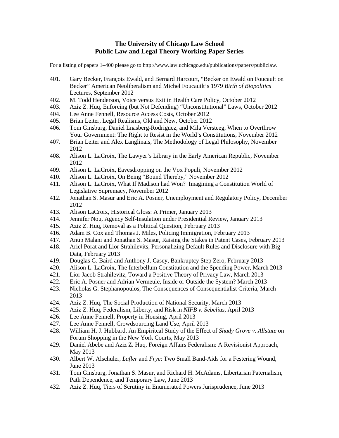## **The University of Chicago Law School Public Law and Legal Theory Working Paper Series**

For a listing of papers 1–400 please go to http://www.law.uchicago.edu/publications/papers/publiclaw.

- 401. Gary Becker, François Ewald, and Bernard Harcourt, "Becker on Ewald on Foucault on Becker" American Neoliberalism and Michel Foucauilt's 1979 *Birth of Biopolitics* Lectures, September 2012
- 402. M. Todd Henderson, Voice versus Exit in Health Care Policy, October 2012
- 403. Aziz Z. Huq, Enforcing (but Not Defending) "Unconstitutional" Laws, October 2012
- 404. Lee Anne Fennell, Resource Access Costs, October 2012
- 405. Brian Leiter, Legal Realisms, Old and New, October 2012
- 406. Tom Ginsburg, Daniel Lnasberg-Rodriguez, and Mila Versteeg, When to Overthrow Your Government: The Right to Resist in the World's Constitutions, November 2012
- 407. Brian Leiter and Alex Langlinais, The Methodology of Legal Philosophy, November 2012
- 408. Alison L. LaCroix, The Lawyer's Library in the Early American Republic, November 2012
- 409. Alison L. LaCroix, Eavesdropping on the Vox Populi, November 2012
- 410. Alison L. LaCroix, On Being "Bound Thereby," November 2012
- 411. Alison L. LaCroix, What If Madison had Won? Imagining a Constitution World of Legislative Supremacy, November 2012
- 412. Jonathan S. Masur and Eric A. Posner, Unemployment and Regulatory Policy, December 2012
- 413. Alison LaCroix, Historical Gloss: A Primer, January 2013
- 414. Jennifer Nou, Agency Self-Insulation under Presidential Review, January 2013
- 415. Aziz Z. Huq, Removal as a Political Question, February 2013
- 416. Adam B. Cox and Thomas J. Miles, Policing Immigration, February 2013
- 417. Anup Malani and Jonathan S. Masur, Raising the Stakes in Patent Cases, February 2013
- 418. Ariel Porat and Lior Strahilevits, Personalizing Default Rules and Disclosure with Big Data, February 2013
- 419. Douglas G. Baird and Anthony J. Casey, Bankruptcy Step Zero, February 2013
- 420. Alison L. LaCroix, The Interbellum Constitution and the Spending Power, March 2013
- 421. Lior Jacob Strahilevitz, Toward a Positive Theory of Privacy Law, March 2013
- 422. Eric A. Posner and Adrian Vermeule, Inside or Outside the System? March 2013
- 423. Nicholas G. Stephanopoulos, The Consequences of Consequentialist Criteria, March 2013
- 424. Aziz Z. Huq, The Social Production of National Security, March 2013
- 425. Aziz Z. Huq, Federalism, Liberty, and Risk in *NIFB v. Sebelius*, April 2013
- 426. Lee Anne Fennell, Property in Housing, April 2013
- 427. Lee Anne Fennell, Crowdsourcing Land Use, April 2013
- 428. William H. J. Hubbard, An Empiritcal Study of the Effect of *Shady Grove v. Allstate* on Forum Shopping in the New York Courts, May 2013
- 429. Daniel Abebe and Aziz Z. Huq, Foreign Affairs Federalism: A Revisionist Approach, May 2013
- 430. Albert W. Alschuler, *Lafler* and *Frye*: Two Small Band-Aids for a Festering Wound, June 2013
- 431. Tom Ginsburg, Jonathan S. Masur, and Richard H. McAdams, Libertarian Paternalism, Path Dependence, and Temporary Law, June 2013
- 432. Aziz Z. Huq, Tiers of Scrutiny in Enumerated Powers Jurisprudence, June 2013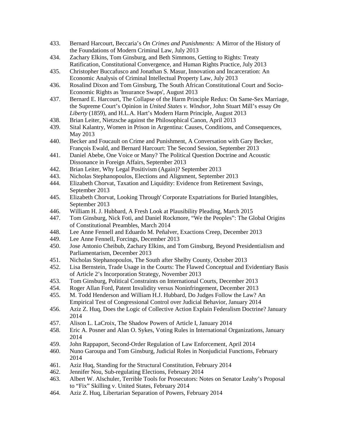- 433. Bernard Harcourt, Beccaria's *On Crimes and Punishments:* A Mirror of the History of the Foundations of Modern Criminal Law, July 2013
- 434. Zachary Elkins, Tom Ginsburg, and Beth Simmons, Getting to Rights: Treaty Ratification, Constitutional Convergence, and Human Rights Practice, July 2013
- 435. Christopher Buccafusco and Jonathan S. Masur, Innovation and Incarceration: An Economic Analysis of Criminal Intellectual Property Law, July 2013
- 436. Rosalind Dixon and Tom Ginsburg, The South African Constitutional Court and Socio-Economic Rights as 'Insurance Swaps', August 2013
- 437. Bernard E. Harcourt, The Collapse of the Harm Principle Redux: On Same-Sex Marriage, the Supreme Court's Opinion in *United States v. Windsor,* John Stuart Mill's essay *On Liberty* (1859), and H.L.A. Hart's Modern Harm Principle, August 2013
- 438. Brian Leiter, Nietzsche against the Philosophical Canon, April 2013
- 439. Sital Kalantry, Women in Prison in Argentina: Causes, Conditions, and Consequences, May 2013
- 440. Becker and Foucault on Crime and Punishment, A Conversation with Gary Becker, François Ewald, and Bernard Harcourt: The Second Session, September 2013
- 441. Daniel Abebe, One Voice or Many? The Political Question Doctrine and Acoustic Dissonance in Foreign Affairs, September 2013
- 442. Brian Leiter, Why Legal Positivism (Again)? September 2013
- 443. Nicholas Stephanopoulos, Elections and Alignment, September 2013<br>444. Elizabeth Chorvat, Taxation and Liquidity: Evidence from Retiremen
- 444. Elizabeth Chorvat, Taxation and Liquidity: Evidence from Retirement Savings, September 2013
- 445. Elizabeth Chorvat, Looking Through' Corporate Expatriations for Buried Intangibles, September 2013
- 446. William H. J. Hubbard, A Fresh Look at Plausibility Pleading, March 2015
- 447. Tom Ginsburg, Nick Foti, and Daniel Rockmore, "We the Peoples": The Global Origins of Constitutional Preambles, March 2014
- 448. Lee Anne Fennell and Eduardo M. Peñalver, Exactions Creep, December 2013
- 449. Lee Anne Fennell, Forcings, December 2013
- 450. Jose Antonio Cheibub, Zachary Elkins, and Tom Ginsburg, Beyond Presidentialism and Parliamentarism, December 2013
- 451. Nicholas Stephanopoulos, The South after Shelby County, October 2013
- 452. Lisa Bernstein, Trade Usage in the Courts: The Flawed Conceptual and Evidentiary Basis of Article 2's Incorporation Strategy, November 2013
- 453. Tom Ginsburg, Political Constraints on International Courts, December 2013
- 454. Roger Allan Ford, Patent Invalidity versus Noninfringement, December 2013
- 455. M. Todd Henderson and William H.J. Hubbard, Do Judges Follow the Law? An Empirical Test of Congressional Control over Judicial Behavior, January 2014
- 456. Aziz Z. Huq, Does the Logic of Collective Action Explain Federalism Doctrine? January 2014
- 457. Alison L. LaCroix, The Shadow Powers of Article I, January 2014
- 458. Eric A. Posner and Alan O. Sykes, Voting Rules in International Organizations, January 2014
- 459. John Rappaport, Second-Order Regulation of Law Enforcement, April 2014
- 460. Nuno Garoupa and Tom Ginsburg, Judicial Roles in Nonjudicial Functions, February 2014
- 461. Aziz Huq, Standing for the Structural Constitution, February 2014
- 462. Jennifer Nou, Sub-regulating Elections, February 2014
- 463. Albert W. Alschuler, Terrible Tools for Prosecutors: Notes on Senator Leahy's Proposal to "Fix" Skilling v. United States, February 2014
- 464. Aziz Z. Huq, Libertarian Separation of Powers, February 2014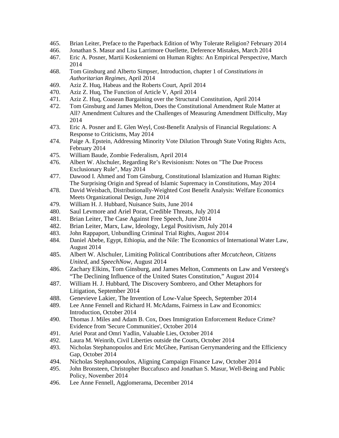- 465. Brian Leiter, Preface to the Paperback Edition of Why Tolerate Religion? February 2014
- 466. Jonathan S. Masur and Lisa Larrimore Ouellette, Deference Mistakes, March 2014
- 467. Eric A. Posner, Martii Koskenniemi on Human Rights: An Empirical Perspective, March 2014
- 468. Tom Ginsburg and Alberto Simpser, Introduction, chapter 1 of *Constitutions in Authoritarian Regimes,* April 2014
- 469. Aziz Z. Huq, Habeas and the Roberts Court, April 2014
- 470. Aziz Z. Huq, The Function of Article V, April 2014
- 471. Aziz Z. Huq, Coasean Bargaining over the Structural Constitution, April 2014
- 472. Tom Ginsburg and James Melton, Does the Constitutional Amendment Rule Matter at All? Amendment Cultures and the Challenges of Measuring Amendment Difficulty, May 2014
- 473. Eric A. Posner and E. Glen Weyl, Cost-Benefit Analysis of Financial Regulations: A Response to Criticisms, May 2014
- 474. Paige A. Epstein, Addressing Minority Vote Dilution Through State Voting Rights Acts, February 2014
- 475. William Baude, Zombie Federalism, April 2014
- 476. Albert W. Alschuler, Regarding Re's Revisionism: Notes on "The Due Process Exclusionary Rule", May 2014
- 477. Dawood I. Ahmed and Tom Ginsburg, Constitutional Islamization and Human Rights: The Surprising Origin and Spread of Islamic Supremacy in Constitutions, May 2014
- 478. David Weisbach, Distributionally-Weighted Cost Benefit Analysis: Welfare Economics Meets Organizational Design, June 2014
- 479. William H. J. Hubbard, Nuisance Suits, June 2014
- 480. Saul Levmore and Ariel Porat, Credible Threats, July 2014
- 481. Brian Leiter, The Case Against Free Speech, June 2014
- 482. Brian Leiter, Marx, Law, Ideology, Legal Positivism, July 2014
- 483. John Rappaport, Unbundling Criminal Trial Rights, August 2014
- 484. Daniel Abebe, Egypt, Ethiopia, and the Nile: The Economics of International Water Law, August 2014
- 485. Albert W. Alschuler, Limiting Political Contributions after *Mccutcheon, Citizens United,* and *SpeechNow,* August 2014
- 486. Zachary Elkins, Tom Ginsburg, and James Melton, Comments on Law and Versteeg's "The Declining Influence of the United States Constitution," August 2014
- 487. William H. J. Hubbard, The Discovery Sombrero, and Other Metaphors for Litigation, September 2014
- 488. Genevieve Lakier, The Invention of Low-Value Speech, September 2014
- 489. Lee Anne Fennell and Richard H. McAdams, Fairness in Law and Economics: Introduction, October 2014
- 490. Thomas J. Miles and Adam B. Cox, Does Immigration Enforcement Reduce Crime? Evidence from 'Secure Communities', October 2014
- 491. Ariel Porat and Omri Yadlin, Valuable Lies, October 2014
- 492. Laura M. Weinrib, Civil Liberties outside the Courts, October 2014
- 493. Nicholas Stephanopoulos and Eric McGhee, Partisan Gerrymandering and the Efficiency Gap, October 2014
- 494. Nicholas Stephanopoulos, Aligning Campaign Finance Law, October 2014<br>495. John Bronsteen, Christopher Buccafusco and Jonathan S. Masur, Well-Being an
- 495. John Bronsteen, Christopher Buccafusco and Jonathan S. Masur, Well-Being and Public Policy, November 2014
- 496. Lee Anne Fennell, Agglomerama, December 2014